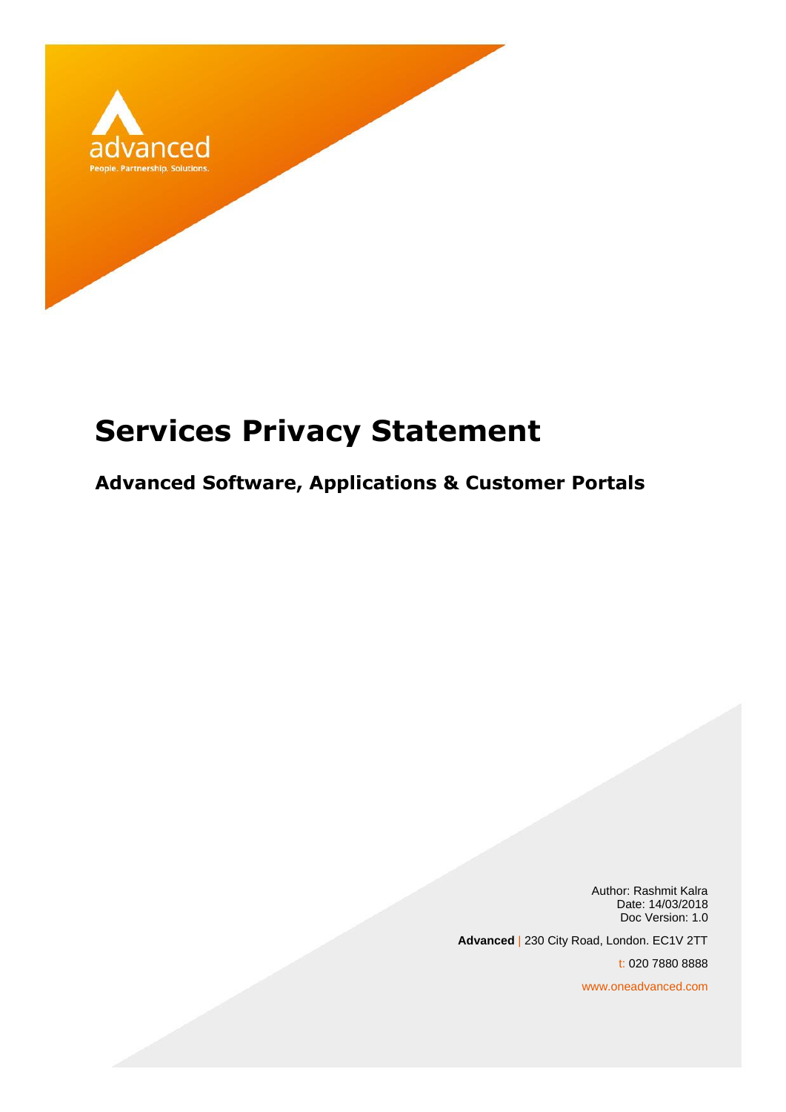

# **Services Privacy Statement**

## **Advanced Software, Applications & Customer Portals**

Author: Rashmit Kalra Date: 14/03/2018 Doc Version: 1.0 **Advanced** | 230 City Road, London. EC1V 2TT t: 020 7880 8888 www.oneadvanced.com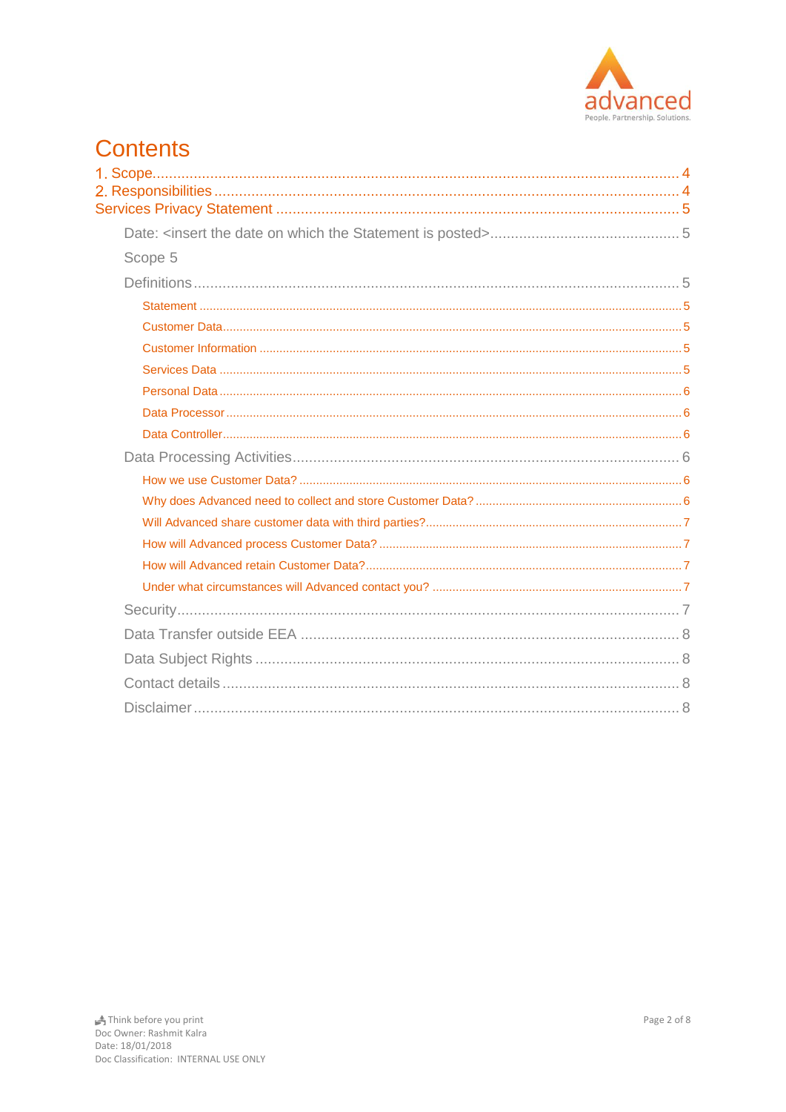

### **Contents** l.

| Scope 5 |  |
|---------|--|
|         |  |
|         |  |
|         |  |
|         |  |
|         |  |
|         |  |
|         |  |
|         |  |
|         |  |
|         |  |
|         |  |
|         |  |
|         |  |
|         |  |
|         |  |
|         |  |
|         |  |
|         |  |
|         |  |
|         |  |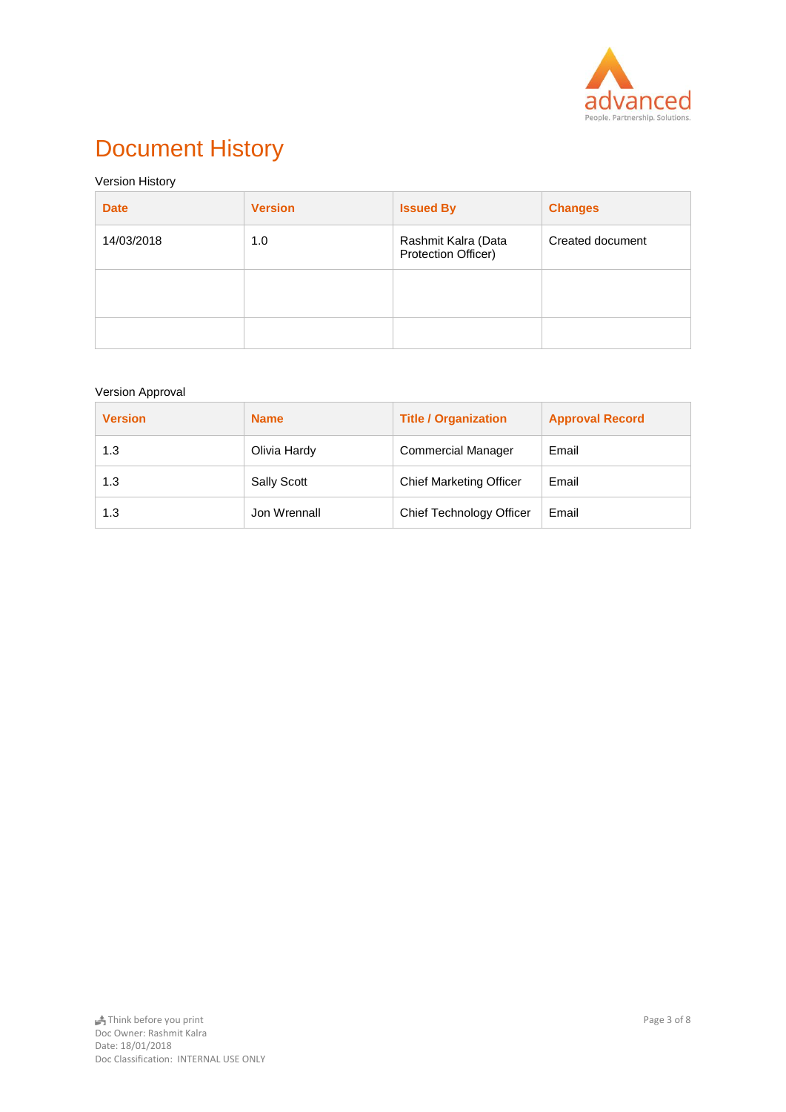

## Document History

#### Version History

| <b>Date</b> | <b>Version</b> | <b>Issued By</b>                           | <b>Changes</b>   |
|-------------|----------------|--------------------------------------------|------------------|
| 14/03/2018  | 1.0            | Rashmit Kalra (Data<br>Protection Officer) | Created document |
|             |                |                                            |                  |
|             |                |                                            |                  |

#### Version Approval

| <b>Version</b> | <b>Name</b>  | <b>Title / Organization</b>    | <b>Approval Record</b> |
|----------------|--------------|--------------------------------|------------------------|
| 1.3            | Olivia Hardy | <b>Commercial Manager</b>      | Email                  |
| 1.3            | Sally Scott  | <b>Chief Marketing Officer</b> | Email                  |
| 1.3            | Jon Wrennall | Chief Technology Officer       | Email                  |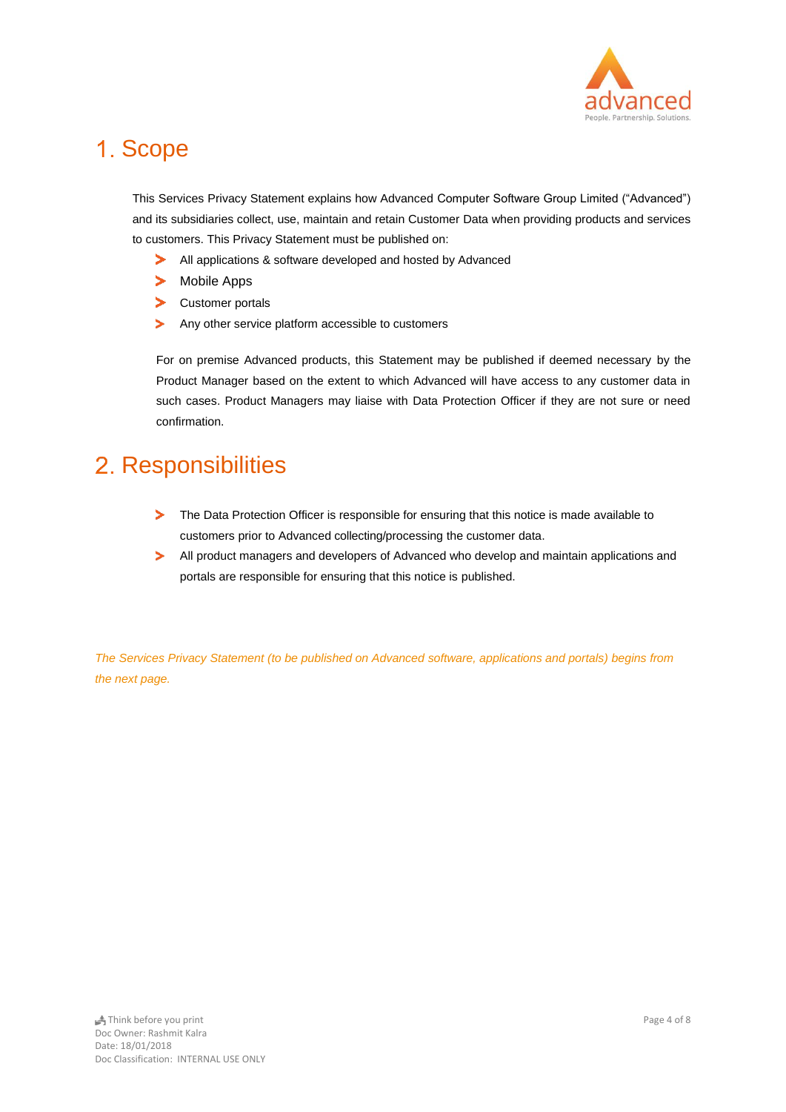

## <span id="page-3-0"></span>1. Scope

This Services Privacy Statement explains how Advanced Computer Software Group Limited ("Advanced") and its subsidiaries collect, use, maintain and retain Customer Data when providing products and services to customers. This Privacy Statement must be published on:

- All applications & software developed and hosted by Advanced ➤
- $\blacktriangleright$ Mobile Apps
- $\blacktriangleright$ Customer portals
- Any other service platform accessible to customers  $\blacktriangleright$

For on premise Advanced products, this Statement may be published if deemed necessary by the Product Manager based on the extent to which Advanced will have access to any customer data in such cases. Product Managers may liaise with Data Protection Officer if they are not sure or need confirmation.

## <span id="page-3-1"></span>2. Responsibilities

- $\geq$ The Data Protection Officer is responsible for ensuring that this notice is made available to customers prior to Advanced collecting/processing the customer data.
- $\blacktriangleright$ All product managers and developers of Advanced who develop and maintain applications and portals are responsible for ensuring that this notice is published.

*The Services Privacy Statement (to be published on Advanced software, applications and portals) begins from the next page.*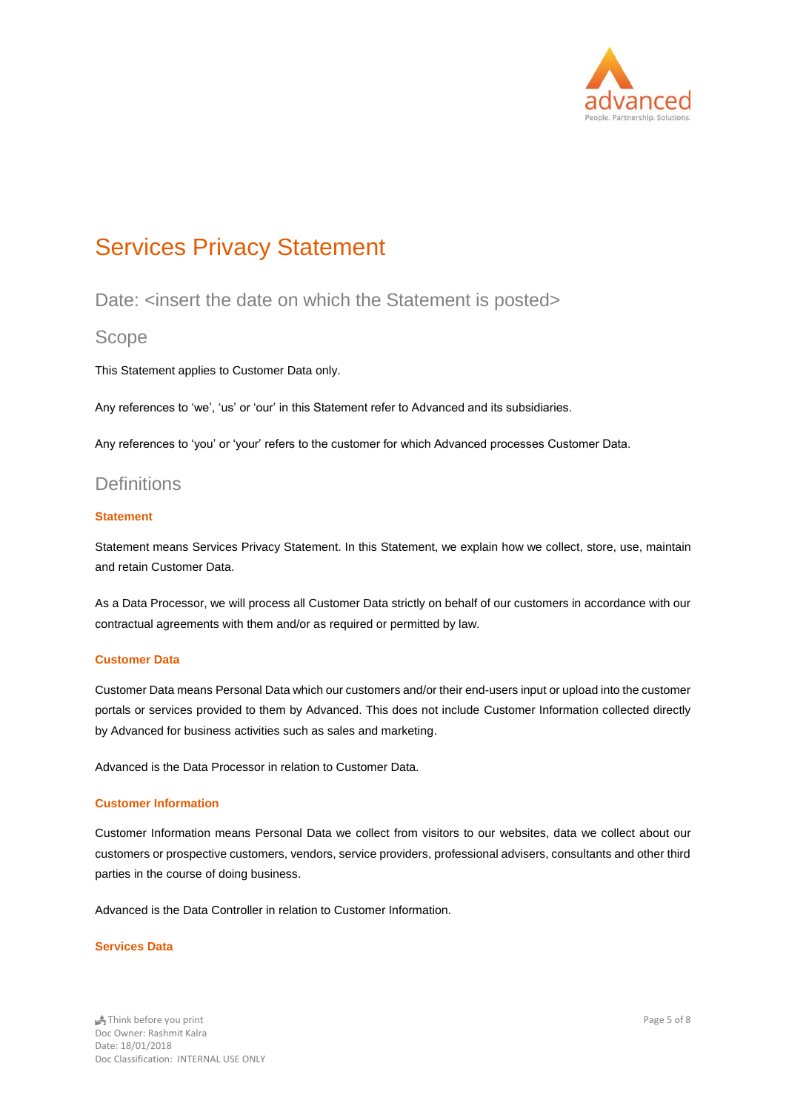

## <span id="page-4-0"></span>Services Privacy Statement

### <span id="page-4-1"></span>Date: <insert the date on which the Statement is posted>

#### <span id="page-4-2"></span>Scope

This Statement applies to Customer Data only.

Any references to 'we', 'us' or 'our' in this Statement refer to Advanced and its subsidiaries.

Any references to 'you' or 'your' refers to the customer for which Advanced processes Customer Data.

### <span id="page-4-3"></span>**Definitions**

#### <span id="page-4-4"></span>**Statement**

Statement means Services Privacy Statement. In this Statement, we explain how we collect, store, use, maintain and retain Customer Data.

As a Data Processor, we will process all Customer Data strictly on behalf of our customers in accordance with our contractual agreements with them and/or as required or permitted by law.

#### <span id="page-4-5"></span>**Customer Data**

Customer Data means Personal Data which our customers and/or their end-users input or upload into the customer portals or services provided to them by Advanced. This does not include Customer Information collected directly by Advanced for business activities such as sales and marketing.

Advanced is the Data Processor in relation to Customer Data.

#### <span id="page-4-6"></span>**Customer Information**

Customer Information means Personal Data we collect from visitors to our websites, data we collect about our customers or prospective customers, vendors, service providers, professional advisers, consultants and other third parties in the course of doing business.

Advanced is the Data Controller in relation to Customer Information.

#### <span id="page-4-7"></span>**Services Data**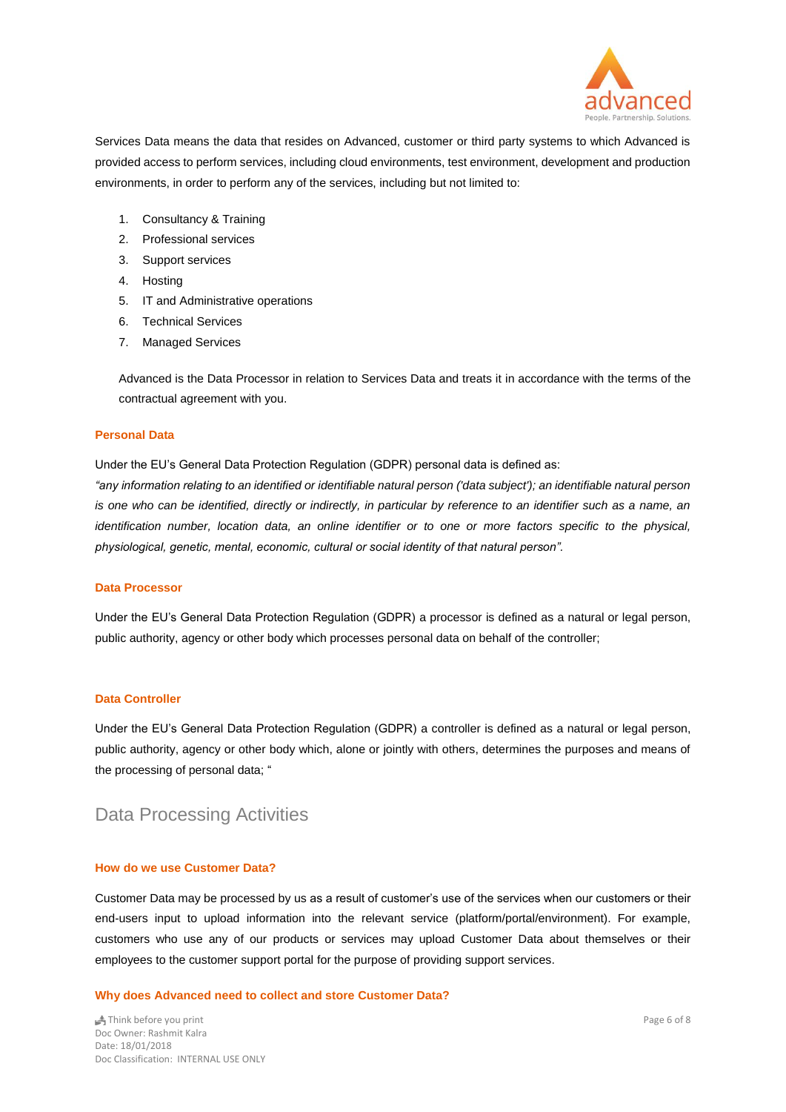

Services Data means the data that resides on Advanced, customer or third party systems to which Advanced is provided access to perform services, including cloud environments, test environment, development and production environments, in order to perform any of the services, including but not limited to:

- 1. Consultancy & Training
- 2. Professional services
- 3. Support services
- 4. Hosting
- 5. IT and Administrative operations
- 6. Technical Services
- 7. Managed Services

Advanced is the Data Processor in relation to Services Data and treats it in accordance with the terms of the contractual agreement with you.

#### <span id="page-5-0"></span>**Personal Data**

Under the EU's General Data Protection Regulation (GDPR) personal data is defined as:

*"any information relating to an identified or identifiable natural person ('data subject'); an identifiable natural person is one who can be identified, directly or indirectly, in particular by reference to an identifier such as a name, an identification number, location data, an online identifier or to one or more factors specific to the physical, physiological, genetic, mental, economic, cultural or social identity of that natural person".*

#### <span id="page-5-1"></span>**Data Processor**

Under the EU's General Data Protection Regulation (GDPR) a processor is defined as a natural or legal person, public authority, agency or other body which processes personal data on behalf of the controller;

#### <span id="page-5-2"></span>**Data Controller**

Under the EU's General Data Protection Regulation (GDPR) a controller is defined as a natural or legal person, public authority, agency or other body which, alone or jointly with others, determines the purposes and means of the processing of personal data; "

### <span id="page-5-3"></span>Data Processing Activities

#### <span id="page-5-4"></span>**How do we use Customer Data?**

Customer Data may be processed by us as a result of customer's use of the services when our customers or their end-users input to upload information into the relevant service (platform/portal/environment). For example, customers who use any of our products or services may upload Customer Data about themselves or their employees to the customer support portal for the purpose of providing support services.

#### <span id="page-5-5"></span>**Why does Advanced need to collect and store Customer Data?**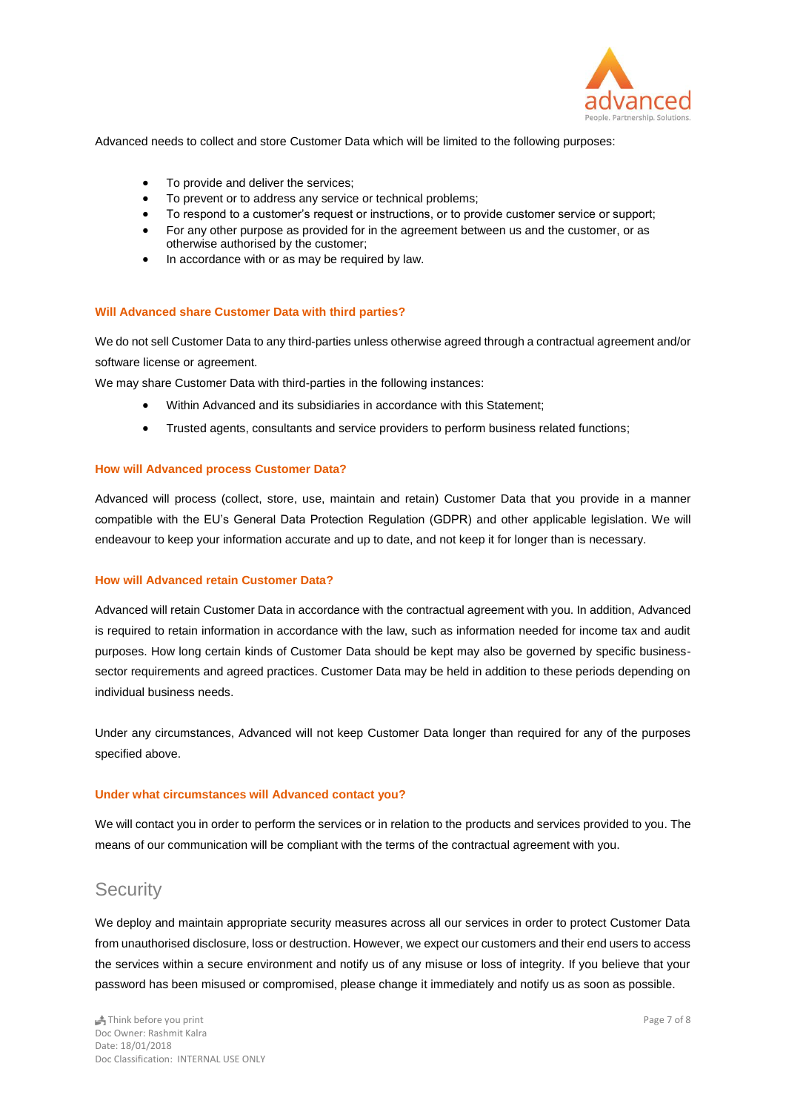

Advanced needs to collect and store Customer Data which will be limited to the following purposes:

- To provide and deliver the services;
- To prevent or to address any service or technical problems;
- To respond to a customer's request or instructions, or to provide customer service or support;
- For any other purpose as provided for in the agreement between us and the customer, or as otherwise authorised by the customer;
- In accordance with or as may be required by law.

#### <span id="page-6-0"></span>**Will Advanced share Customer Data with third parties?**

We do not sell Customer Data to any third-parties unless otherwise agreed through a contractual agreement and/or software license or agreement.

We may share Customer Data with third-parties in the following instances:

- Within Advanced and its subsidiaries in accordance with this Statement;
- Trusted agents, consultants and service providers to perform business related functions;

#### <span id="page-6-1"></span>**How will Advanced process Customer Data?**

Advanced will process (collect, store, use, maintain and retain) Customer Data that you provide in a manner compatible with the EU's General Data Protection Regulation (GDPR) and other applicable legislation. We will endeavour to keep your information accurate and up to date, and not keep it for longer than is necessary.

#### <span id="page-6-2"></span>**How will Advanced retain Customer Data?**

Advanced will retain Customer Data in accordance with the contractual agreement with you. In addition, Advanced is required to retain information in accordance with the law, such as information needed for income tax and audit purposes. How long certain kinds of Customer Data should be kept may also be governed by specific businesssector requirements and agreed practices. Customer Data may be held in addition to these periods depending on individual business needs.

Under any circumstances, Advanced will not keep Customer Data longer than required for any of the purposes specified above.

#### <span id="page-6-3"></span>**Under what circumstances will Advanced contact you?**

We will contact you in order to perform the services or in relation to the products and services provided to you. The means of our communication will be compliant with the terms of the contractual agreement with you.

### <span id="page-6-4"></span>**Security**

We deploy and maintain appropriate security measures across all our services in order to protect Customer Data from unauthorised disclosure, loss or destruction. However, we expect our customers and their end users to access the services within a secure environment and notify us of any misuse or loss of integrity. If you believe that your password has been misused or compromised, please change it immediately and notify us as soon as possible.